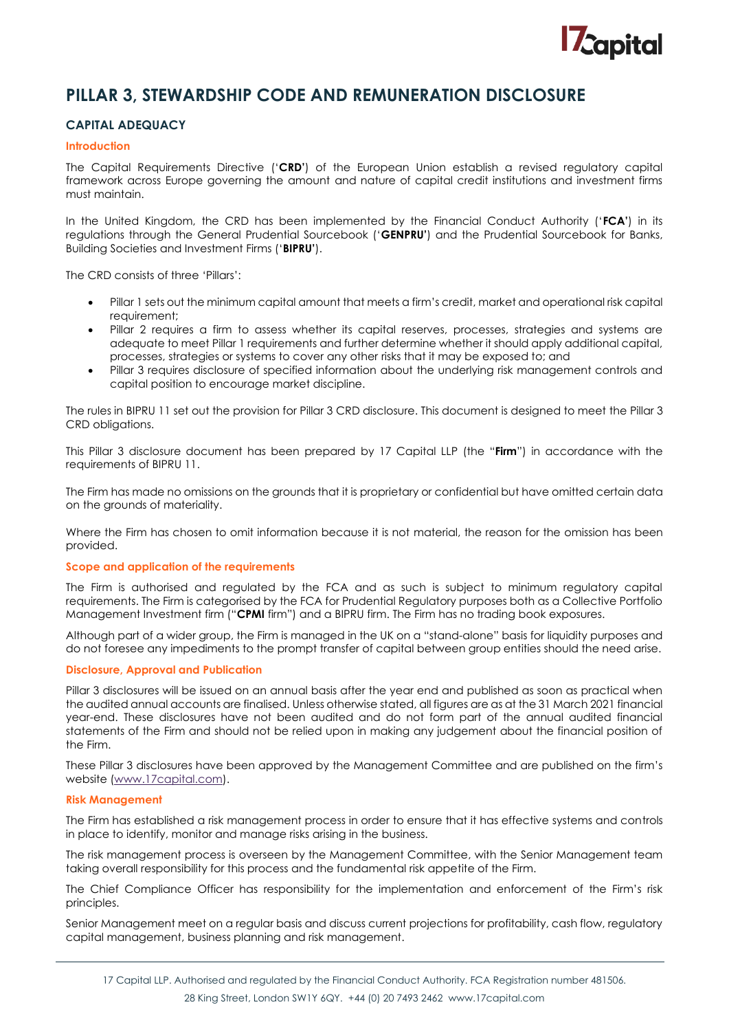

# **PILLAR 3, STEWARDSHIP CODE AND REMUNERATION DISCLOSURE**

# **CAPITAL ADEQUACY**

#### **Introduction**

The Capital Requirements Directive ('**CRD'**) of the European Union establish a revised regulatory capital framework across Europe governing the amount and nature of capital credit institutions and investment firms must maintain.

In the United Kingdom, the CRD has been implemented by the Financial Conduct Authority ('**FCA'**) in its regulations through the General Prudential Sourcebook ('**GENPRU'**) and the Prudential Sourcebook for Banks, Building Societies and Investment Firms ('**BIPRU'**).

The CRD consists of three 'Pillars':

- Pillar 1 sets out the minimum capital amount that meets a firm's credit, market and operational risk capital requirement;
- Pillar 2 requires a firm to assess whether its capital reserves, processes, strategies and systems are adequate to meet Pillar 1 requirements and further determine whether it should apply additional capital, processes, strategies or systems to cover any other risks that it may be exposed to; and
- Pillar 3 requires disclosure of specified information about the underlying risk management controls and capital position to encourage market discipline.

The rules in BIPRU 11 set out the provision for Pillar 3 CRD disclosure. This document is designed to meet the Pillar 3 CRD obligations.

This Pillar 3 disclosure document has been prepared by 17 Capital LLP (the "**Firm**") in accordance with the requirements of BIPRU 11.

The Firm has made no omissions on the grounds that it is proprietary or confidential but have omitted certain data on the grounds of materiality.

Where the Firm has chosen to omit information because it is not material, the reason for the omission has been provided.

#### **Scope and application of the requirements**

The Firm is authorised and regulated by the FCA and as such is subject to minimum regulatory capital requirements. The Firm is categorised by the FCA for Prudential Regulatory purposes both as a Collective Portfolio Management Investment firm ("**CPMI** firm") and a BIPRU firm. The Firm has no trading book exposures.

Although part of a wider group, the Firm is managed in the UK on a "stand-alone" basis for liquidity purposes and do not foresee any impediments to the prompt transfer of capital between group entities should the need arise.

## **Disclosure, Approval and Publication**

Pillar 3 disclosures will be issued on an annual basis after the year end and published as soon as practical when the audited annual accounts are finalised. Unless otherwise stated, all figures are as at the 31 March 2021 financial year-end. These disclosures have not been audited and do not form part of the annual audited financial statements of the Firm and should not be relied upon in making any judgement about the financial position of the Firm.

These Pillar 3 disclosures have been approved by the Management Committee and are published on the firm's website [\(www.17capital.com\)](http://www.17capital.com/).

#### **Risk Management**

The Firm has established a risk management process in order to ensure that it has effective systems and controls in place to identify, monitor and manage risks arising in the business.

The risk management process is overseen by the Management Committee, with the Senior Management team taking overall responsibility for this process and the fundamental risk appetite of the Firm.

The Chief Compliance Officer has responsibility for the implementation and enforcement of the Firm's risk principles.

Senior Management meet on a regular basis and discuss current projections for profitability, cash flow, regulatory capital management, business planning and risk management.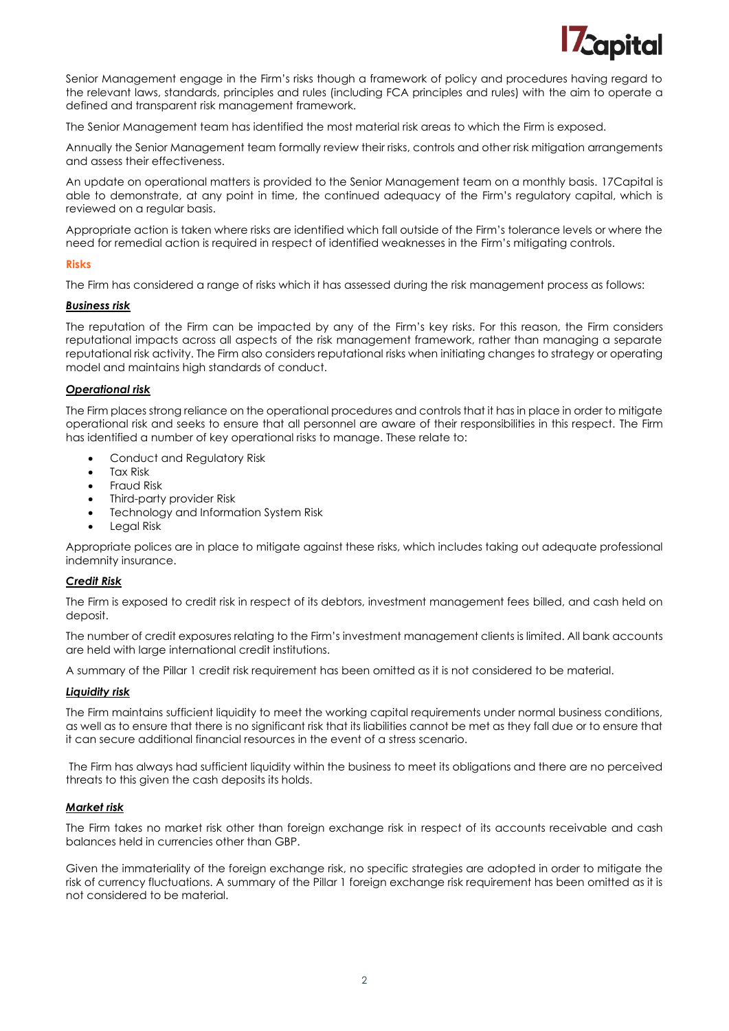

Senior Management engage in the Firm's risks though a framework of policy and procedures having regard to the relevant laws, standards, principles and rules (including FCA principles and rules) with the aim to operate a defined and transparent risk management framework.

The Senior Management team has identified the most material risk areas to which the Firm is exposed.

Annually the Senior Management team formally review their risks, controls and other risk mitigation arrangements and assess their effectiveness.

An update on operational matters is provided to the Senior Management team on a monthly basis. 17Capital is able to demonstrate, at any point in time, the continued adequacy of the Firm's regulatory capital, which is reviewed on a regular basis.

Appropriate action is taken where risks are identified which fall outside of the Firm's tolerance levels or where the need for remedial action is required in respect of identified weaknesses in the Firm's mitigating controls.

## **Risks**

The Firm has considered a range of risks which it has assessed during the risk management process as follows:

#### *Business risk*

The reputation of the Firm can be impacted by any of the Firm's key risks. For this reason, the Firm considers reputational impacts across all aspects of the risk management framework, rather than managing a separate reputational risk activity. The Firm also considers reputational risks when initiating changes to strategy or operating model and maintains high standards of conduct.

## *Operational risk*

The Firm places strong reliance on the operational procedures and controls that it has in place in order to mitigate operational risk and seeks to ensure that all personnel are aware of their responsibilities in this respect. The Firm has identified a number of key operational risks to manage. These relate to:

- Conduct and Regulatory Risk
- Tax Risk
- Fraud Risk
- Third-party provider Risk
- Technology and Information System Risk
- Legal Risk

Appropriate polices are in place to mitigate against these risks, which includes taking out adequate professional indemnity insurance.

## *Credit Risk*

The Firm is exposed to credit risk in respect of its debtors, investment management fees billed, and cash held on deposit.

The number of credit exposures relating to the Firm's investment management clients is limited. All bank accounts are held with large international credit institutions.

A summary of the Pillar 1 credit risk requirement has been omitted as it is not considered to be material.

## *Liquidity risk*

The Firm maintains sufficient liquidity to meet the working capital requirements under normal business conditions, as well as to ensure that there is no significant risk that its liabilities cannot be met as they fall due or to ensure that it can secure additional financial resources in the event of a stress scenario.

The Firm has always had sufficient liquidity within the business to meet its obligations and there are no perceived threats to this given the cash deposits its holds.

## *Market risk*

The Firm takes no market risk other than foreign exchange risk in respect of its accounts receivable and cash balances held in currencies other than GBP.

Given the immateriality of the foreign exchange risk, no specific strategies are adopted in order to mitigate the risk of currency fluctuations. A summary of the Pillar 1 foreign exchange risk requirement has been omitted as it is not considered to be material.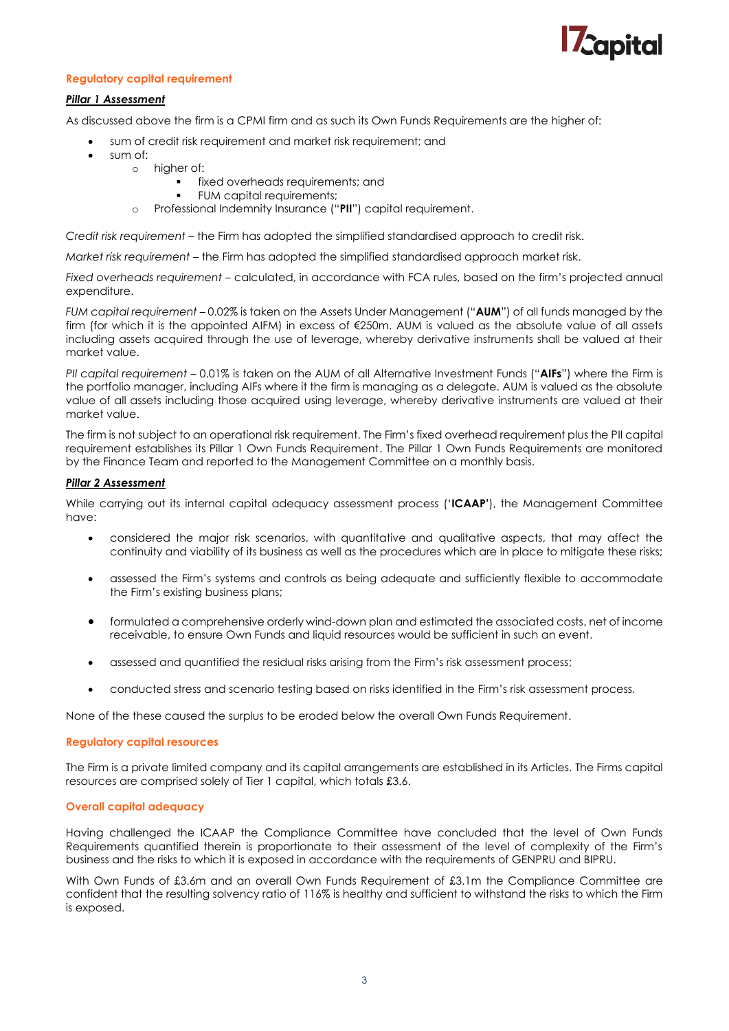

# **Regulatory capital requirement**

## *Pillar 1 Assessment*

As discussed above the firm is a CPMI firm and as such its Own Funds Requirements are the higher of:

- sum of credit risk requirement and market risk requirement; and
- sum of:
	- o higher of:
		- fixed overheads requirements; and
			- FUM capital requirements;
		- Professional Indemnity Insurance ("PII") capital requirement.

*Credit risk requirement* – the Firm has adopted the simplified standardised approach to credit risk.

*Market risk requirement* – the Firm has adopted the simplified standardised approach market risk.

*Fixed overheads requirement* – calculated, in accordance with FCA rules, based on the firm's projected annual expenditure.

*FUM capital requirement* – 0.02% is taken on the Assets Under Management ("**AUM**") of all funds managed by the firm (for which it is the appointed AIFM) in excess of €250m. AUM is valued as the absolute value of all assets including assets acquired through the use of leverage, whereby derivative instruments shall be valued at their market value.

*PII capital requirement* – 0.01% is taken on the AUM of all Alternative Investment Funds ("**AIFs**") where the Firm is the portfolio manager, including AIFs where it the firm is managing as a delegate. AUM is valued as the absolute value of all assets including those acquired using leverage, whereby derivative instruments are valued at their market value.

The firm is not subject to an operational risk requirement. The Firm's fixed overhead requirement plus the PII capital requirement establishes its Pillar 1 Own Funds Requirement. The Pillar 1 Own Funds Requirements are monitored by the Finance Team and reported to the Management Committee on a monthly basis.

## *Pillar 2 Assessment*

While carrying out its internal capital adequacy assessment process ('**ICAAP'**), the Management Committee have:

- considered the major risk scenarios, with quantitative and qualitative aspects, that may affect the continuity and viability of its business as well as the procedures which are in place to mitigate these risks;
- assessed the Firm's systems and controls as being adequate and sufficiently flexible to accommodate the Firm's existing business plans;
- formulated a comprehensive orderly wind-down plan and estimated the associated costs, net of income receivable, to ensure Own Funds and liquid resources would be sufficient in such an event.
- assessed and quantified the residual risks arising from the Firm's risk assessment process;
- conducted stress and scenario testing based on risks identified in the Firm's risk assessment process.

None of the these caused the surplus to be eroded below the overall Own Funds Requirement.

#### **Regulatory capital resources**

The Firm is a private limited company and its capital arrangements are established in its Articles. The Firms capital resources are comprised solely of Tier 1 capital, which totals £3.6.

#### **Overall capital adequacy**

Having challenged the ICAAP the Compliance Committee have concluded that the level of Own Funds Requirements quantified therein is proportionate to their assessment of the level of complexity of the Firm's business and the risks to which it is exposed in accordance with the requirements of GENPRU and BIPRU.

With Own Funds of £3.6m and an overall Own Funds Requirement of £3.1m the Compliance Committee are confident that the resulting solvency ratio of 116% is healthy and sufficient to withstand the risks to which the Firm is exposed.